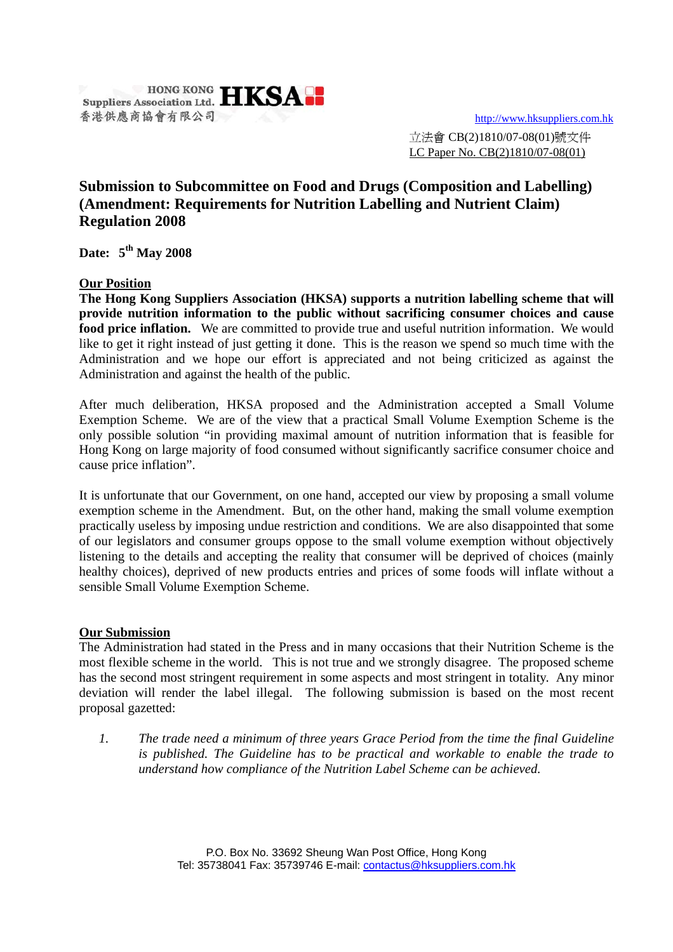

立法會 CB(2)1810/07-08(01)號文件 LC Paper No. CB(2)1810/07-08(01)

## **Submission to Subcommittee on Food and Drugs (Composition and Labelling) (Amendment: Requirements for Nutrition Labelling and Nutrient Claim) Regulation 2008**

**Date: 5th May 2008** 

## **Our Position**

**The Hong Kong Suppliers Association (HKSA) supports a nutrition labelling scheme that will provide nutrition information to the public without sacrificing consumer choices and cause food price inflation.** We are committed to provide true and useful nutrition information. We would like to get it right instead of just getting it done. This is the reason we spend so much time with the Administration and we hope our effort is appreciated and not being criticized as against the Administration and against the health of the public.

After much deliberation, HKSA proposed and the Administration accepted a Small Volume Exemption Scheme. We are of the view that a practical Small Volume Exemption Scheme is the only possible solution "in providing maximal amount of nutrition information that is feasible for Hong Kong on large majority of food consumed without significantly sacrifice consumer choice and cause price inflation".

It is unfortunate that our Government, on one hand, accepted our view by proposing a small volume exemption scheme in the Amendment. But, on the other hand, making the small volume exemption practically useless by imposing undue restriction and conditions. We are also disappointed that some of our legislators and consumer groups oppose to the small volume exemption without objectively listening to the details and accepting the reality that consumer will be deprived of choices (mainly healthy choices), deprived of new products entries and prices of some foods will inflate without a sensible Small Volume Exemption Scheme.

## **Our Submission**

The Administration had stated in the Press and in many occasions that their Nutrition Scheme is the most flexible scheme in the world. This is not true and we strongly disagree. The proposed scheme has the second most stringent requirement in some aspects and most stringent in totality. Any minor deviation will render the label illegal. The following submission is based on the most recent proposal gazetted:

*1. The trade need a minimum of three years Grace Period from the time the final Guideline is published. The Guideline has to be practical and workable to enable the trade to understand how compliance of the Nutrition Label Scheme can be achieved.*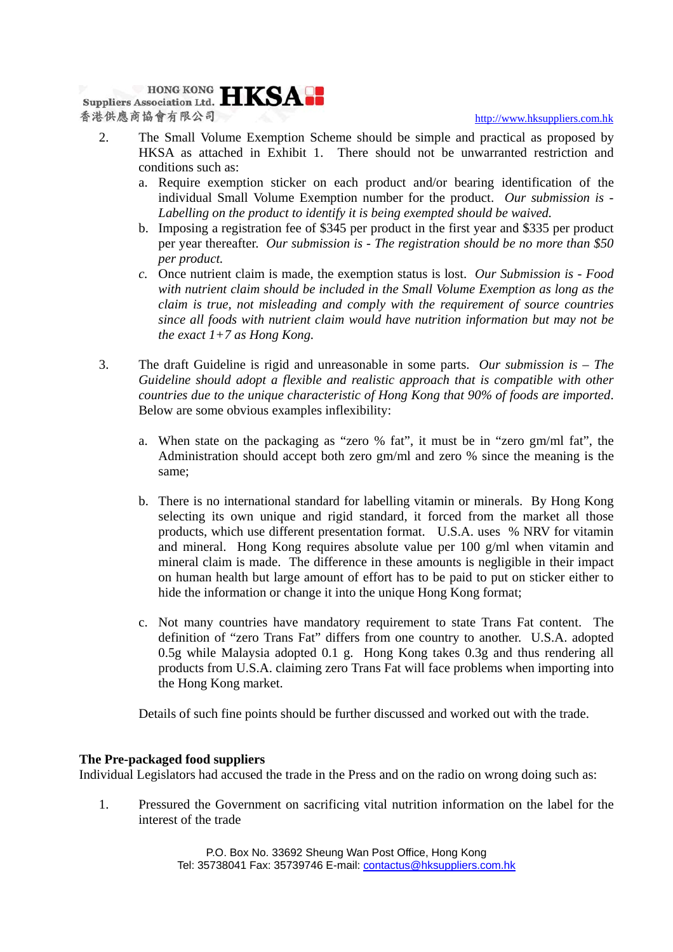

- 2. The Small Volume Exemption Scheme should be simple and practical as proposed by HKSA as attached in Exhibit 1. There should not be unwarranted restriction and conditions such as:
	- a. Require exemption sticker on each product and/or bearing identification of the individual Small Volume Exemption number for the product. *Our submission is - Labelling on the product to identify it is being exempted should be waived.*
	- b. Imposing a registration fee of \$345 per product in the first year and \$335 per product per year thereafter. *Our submission is - The registration should be no more than \$50 per product.*
	- *c.* Once nutrient claim is made, the exemption status is lost. *Our Submission is Food with nutrient claim should be included in the Small Volume Exemption as long as the claim is true, not misleading and comply with the requirement of source countries since all foods with nutrient claim would have nutrition information but may not be the exact 1+7 as Hong Kong.*
- 3. The draft Guideline is rigid and unreasonable in some parts. *Our submission is The Guideline should adopt a flexible and realistic approach that is compatible with other countries due to the unique characteristic of Hong Kong that 90% of foods are imported*. Below are some obvious examples inflexibility:
	- a. When state on the packaging as "zero % fat", it must be in "zero gm/ml fat", the Administration should accept both zero gm/ml and zero % since the meaning is the same;
	- b. There is no international standard for labelling vitamin or minerals. By Hong Kong selecting its own unique and rigid standard, it forced from the market all those products, which use different presentation format. U.S.A. uses % NRV for vitamin and mineral. Hong Kong requires absolute value per 100 g/ml when vitamin and mineral claim is made. The difference in these amounts is negligible in their impact on human health but large amount of effort has to be paid to put on sticker either to hide the information or change it into the unique Hong Kong format;
	- c. Not many countries have mandatory requirement to state Trans Fat content. The definition of "zero Trans Fat" differs from one country to another. U.S.A. adopted 0.5g while Malaysia adopted 0.1 g. Hong Kong takes 0.3g and thus rendering all products from U.S.A. claiming zero Trans Fat will face problems when importing into the Hong Kong market.

Details of such fine points should be further discussed and worked out with the trade.

## **The Pre-packaged food suppliers**

Individual Legislators had accused the trade in the Press and on the radio on wrong doing such as:

1. Pressured the Government on sacrificing vital nutrition information on the label for the interest of the trade

> P.O. Box No. 33692 Sheung Wan Post Office, Hong Kong Tel: 35738041 Fax: 35739746 E-mail: contactus@hksuppliers.com.hk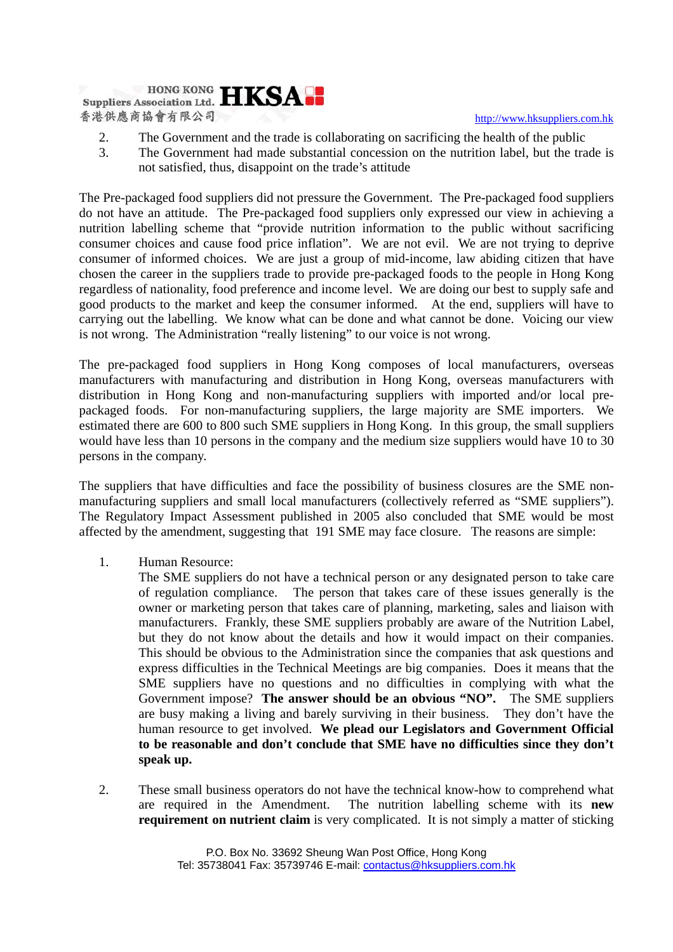

- 2. The Government and the trade is collaborating on sacrificing the health of the public
- 3. The Government had made substantial concession on the nutrition label, but the trade is not satisfied, thus, disappoint on the trade's attitude

The Pre-packaged food suppliers did not pressure the Government. The Pre-packaged food suppliers do not have an attitude. The Pre-packaged food suppliers only expressed our view in achieving a nutrition labelling scheme that "provide nutrition information to the public without sacrificing consumer choices and cause food price inflation". We are not evil. We are not trying to deprive consumer of informed choices. We are just a group of mid-income, law abiding citizen that have chosen the career in the suppliers trade to provide pre-packaged foods to the people in Hong Kong regardless of nationality, food preference and income level. We are doing our best to supply safe and good products to the market and keep the consumer informed. At the end, suppliers will have to carrying out the labelling. We know what can be done and what cannot be done. Voicing our view is not wrong. The Administration "really listening" to our voice is not wrong.

The pre-packaged food suppliers in Hong Kong composes of local manufacturers, overseas manufacturers with manufacturing and distribution in Hong Kong, overseas manufacturers with distribution in Hong Kong and non-manufacturing suppliers with imported and/or local prepackaged foods. For non-manufacturing suppliers, the large majority are SME importers. We estimated there are 600 to 800 such SME suppliers in Hong Kong. In this group, the small suppliers would have less than 10 persons in the company and the medium size suppliers would have 10 to 30 persons in the company.

The suppliers that have difficulties and face the possibility of business closures are the SME nonmanufacturing suppliers and small local manufacturers (collectively referred as "SME suppliers"). The Regulatory Impact Assessment published in 2005 also concluded that SME would be most affected by the amendment, suggesting that 191 SME may face closure. The reasons are simple:

1. Human Resource:

The SME suppliers do not have a technical person or any designated person to take care of regulation compliance. The person that takes care of these issues generally is the owner or marketing person that takes care of planning, marketing, sales and liaison with manufacturers. Frankly, these SME suppliers probably are aware of the Nutrition Label, but they do not know about the details and how it would impact on their companies. This should be obvious to the Administration since the companies that ask questions and express difficulties in the Technical Meetings are big companies. Does it means that the SME suppliers have no questions and no difficulties in complying with what the Government impose? **The answer should be an obvious "NO".** The SME suppliers are busy making a living and barely surviving in their business. They don't have the human resource to get involved. **We plead our Legislators and Government Official to be reasonable and don't conclude that SME have no difficulties since they don't speak up.** 

2. These small business operators do not have the technical know-how to comprehend what are required in the Amendment. The nutrition labelling scheme with its **new requirement on nutrient claim** is very complicated. It is not simply a matter of sticking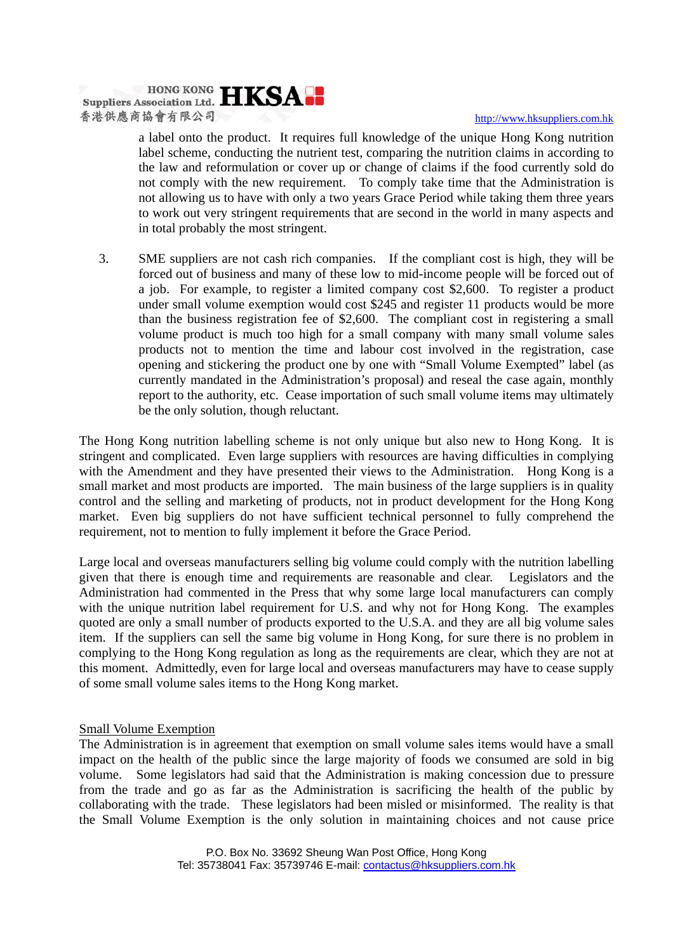

a label onto the product. It requires full knowledge of the unique Hong Kong nutrition label scheme, conducting the nutrient test, comparing the nutrition claims in according to the law and reformulation or cover up or change of claims if the food currently sold do not comply with the new requirement. To comply take time that the Administration is not allowing us to have with only a two years Grace Period while taking them three years to work out very stringent requirements that are second in the world in many aspects and in total probably the most stringent.

3. SME suppliers are not cash rich companies. If the compliant cost is high, they will be forced out of business and many of these low to mid-income people will be forced out of a job. For example, to register a limited company cost \$2,600. To register a product under small volume exemption would cost \$245 and register 11 products would be more than the business registration fee of \$2,600. The compliant cost in registering a small volume product is much too high for a small company with many small volume sales products not to mention the time and labour cost involved in the registration, case opening and stickering the product one by one with "Small Volume Exempted" label (as currently mandated in the Administration's proposal) and reseal the case again, monthly report to the authority, etc. Cease importation of such small volume items may ultimately be the only solution, though reluctant.

The Hong Kong nutrition labelling scheme is not only unique but also new to Hong Kong. It is stringent and complicated. Even large suppliers with resources are having difficulties in complying with the Amendment and they have presented their views to the Administration. Hong Kong is a small market and most products are imported. The main business of the large suppliers is in quality control and the selling and marketing of products, not in product development for the Hong Kong market. Even big suppliers do not have sufficient technical personnel to fully comprehend the requirement, not to mention to fully implement it before the Grace Period.

Large local and overseas manufacturers selling big volume could comply with the nutrition labelling given that there is enough time and requirements are reasonable and clear. Legislators and the Administration had commented in the Press that why some large local manufacturers can comply with the unique nutrition label requirement for U.S. and why not for Hong Kong. The examples quoted are only a small number of products exported to the U.S.A. and they are all big volume sales item. If the suppliers can sell the same big volume in Hong Kong, for sure there is no problem in complying to the Hong Kong regulation as long as the requirements are clear, which they are not at this moment. Admittedly, even for large local and overseas manufacturers may have to cease supply of some small volume sales items to the Hong Kong market.

#### Small Volume Exemption

The Administration is in agreement that exemption on small volume sales items would have a small impact on the health of the public since the large majority of foods we consumed are sold in big volume. Some legislators had said that the Administration is making concession due to pressure from the trade and go as far as the Administration is sacrificing the health of the public by collaborating with the trade. These legislators had been misled or misinformed. The reality is that the Small Volume Exemption is the only solution in maintaining choices and not cause price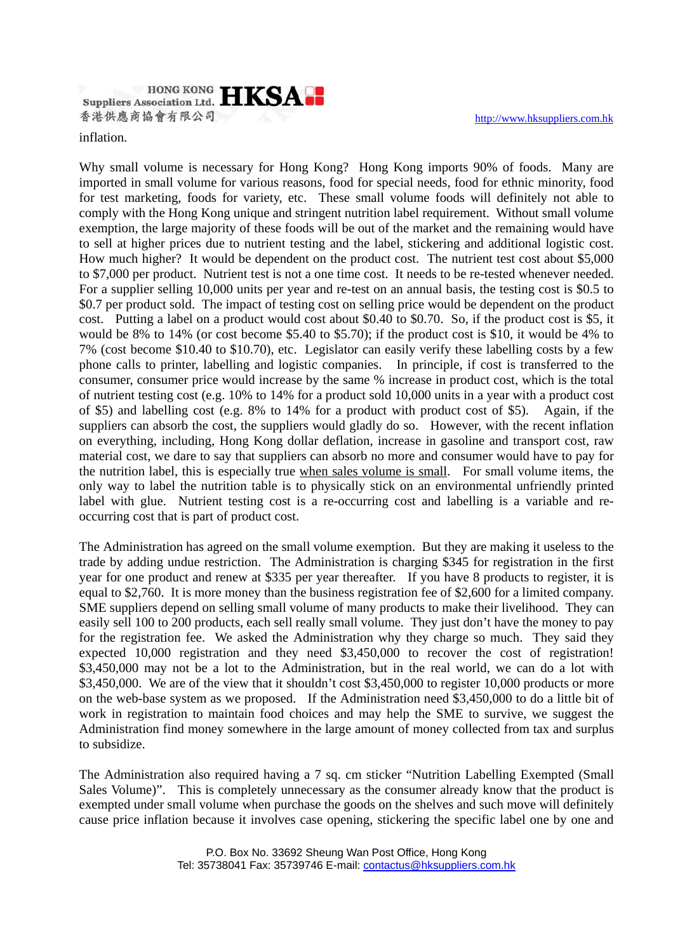**Suppliers Association Ltd. HKSAN** 香港供應商協會有限公司

http://www.hksuppliers.com.hk

inflation.

Why small volume is necessary for Hong Kong? Hong Kong imports 90% of foods. Many are imported in small volume for various reasons, food for special needs, food for ethnic minority, food for test marketing, foods for variety, etc. These small volume foods will definitely not able to comply with the Hong Kong unique and stringent nutrition label requirement. Without small volume exemption, the large majority of these foods will be out of the market and the remaining would have to sell at higher prices due to nutrient testing and the label, stickering and additional logistic cost. How much higher? It would be dependent on the product cost. The nutrient test cost about \$5,000 to \$7,000 per product. Nutrient test is not a one time cost. It needs to be re-tested whenever needed. For a supplier selling 10,000 units per year and re-test on an annual basis, the testing cost is \$0.5 to \$0.7 per product sold. The impact of testing cost on selling price would be dependent on the product cost. Putting a label on a product would cost about \$0.40 to \$0.70. So, if the product cost is \$5, it would be 8% to 14% (or cost become \$5.40 to \$5.70); if the product cost is \$10, it would be 4% to 7% (cost become \$10.40 to \$10.70), etc. Legislator can easily verify these labelling costs by a few phone calls to printer, labelling and logistic companies. In principle, if cost is transferred to the consumer, consumer price would increase by the same % increase in product cost, which is the total of nutrient testing cost (e.g. 10% to 14% for a product sold 10,000 units in a year with a product cost of \$5) and labelling cost (e.g. 8% to 14% for a product with product cost of \$5). Again, if the suppliers can absorb the cost, the suppliers would gladly do so. However, with the recent inflation on everything, including, Hong Kong dollar deflation, increase in gasoline and transport cost, raw material cost, we dare to say that suppliers can absorb no more and consumer would have to pay for the nutrition label, this is especially true when sales volume is small. For small volume items, the only way to label the nutrition table is to physically stick on an environmental unfriendly printed label with glue. Nutrient testing cost is a re-occurring cost and labelling is a variable and reoccurring cost that is part of product cost.

The Administration has agreed on the small volume exemption. But they are making it useless to the trade by adding undue restriction. The Administration is charging \$345 for registration in the first year for one product and renew at \$335 per year thereafter. If you have 8 products to register, it is equal to \$2,760. It is more money than the business registration fee of \$2,600 for a limited company. SME suppliers depend on selling small volume of many products to make their livelihood. They can easily sell 100 to 200 products, each sell really small volume. They just don't have the money to pay for the registration fee. We asked the Administration why they charge so much. They said they expected 10,000 registration and they need \$3,450,000 to recover the cost of registration! \$3,450,000 may not be a lot to the Administration, but in the real world, we can do a lot with \$3,450,000. We are of the view that it shouldn't cost \$3,450,000 to register 10,000 products or more on the web-base system as we proposed. If the Administration need \$3,450,000 to do a little bit of work in registration to maintain food choices and may help the SME to survive, we suggest the Administration find money somewhere in the large amount of money collected from tax and surplus to subsidize.

The Administration also required having a 7 sq. cm sticker "Nutrition Labelling Exempted (Small Sales Volume)". This is completely unnecessary as the consumer already know that the product is exempted under small volume when purchase the goods on the shelves and such move will definitely cause price inflation because it involves case opening, stickering the specific label one by one and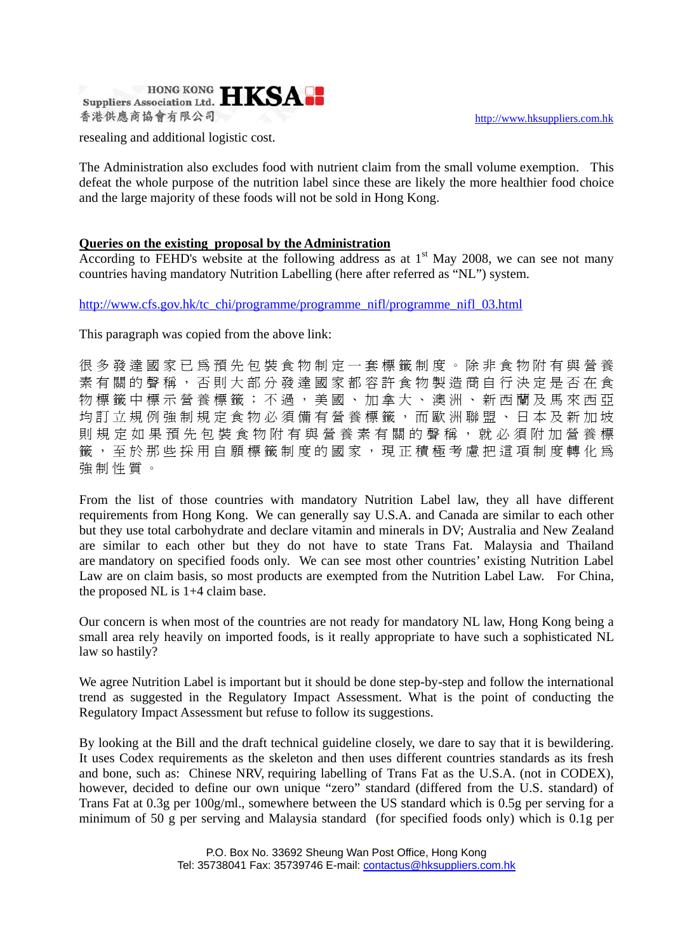

resealing and additional logistic cost.

The Administration also excludes food with nutrient claim from the small volume exemption. This defeat the whole purpose of the nutrition label since these are likely the more healthier food choice and the large majority of these foods will not be sold in Hong Kong.

## **Queries on the existing proposal by the Administration**

According to FEHD's website at the following address as at  $1<sup>st</sup>$  May 2008, we can see not many countries having mandatory Nutrition Labelling (here after referred as "NL") system.

http://www.cfs.gov.hk/tc\_chi/programme/programme\_nifl/programme\_nifl\_03.html

This paragraph was copied from the above link:

很多發達國家已爲預先包裝食物制定一套標籤制度。除非食物附有與營養 素有關的聲稱,否則大部分發達國家都容許食物製造商自行決定是否在食 物標籤中標示營養標籤;不過,美國、加拿大、澳洲、新西蘭及馬來西亞 均訂立規例強制規定食物必須備有營養標籤,而歐洲聯盟、日本及新加坡 則規定如果預先包裝食物附有與營養素有關的聲稱,就必須附加營養標 籤 , 至 於 那 些 採 用 自 願 標 籤 制 度 的 國 家 , 現 正 積 極 考 慮 把 這 項 制 度 轉 化 為 強 制 性 質 。

From the list of those countries with mandatory Nutrition Label law, they all have different requirements from Hong Kong. We can generally say U.S.A. and Canada are similar to each other but they use total carbohydrate and declare vitamin and minerals in DV; Australia and New Zealand are similar to each other but they do not have to state Trans Fat. Malaysia and Thailand are mandatory on specified foods only. We can see most other countries' existing Nutrition Label Law are on claim basis, so most products are exempted from the Nutrition Label Law. For China, the proposed NL is 1+4 claim base.

Our concern is when most of the countries are not ready for mandatory NL law, Hong Kong being a small area rely heavily on imported foods, is it really appropriate to have such a sophisticated NL law so hastily?

We agree Nutrition Label is important but it should be done step-by-step and follow the international trend as suggested in the Regulatory Impact Assessment. What is the point of conducting the Regulatory Impact Assessment but refuse to follow its suggestions.

By looking at the Bill and the draft technical guideline closely, we dare to say that it is bewildering. It uses Codex requirements as the skeleton and then uses different countries standards as its fresh and bone, such as: Chinese NRV, requiring labelling of Trans Fat as the U.S.A. (not in CODEX), however, decided to define our own unique "zero" standard (differed from the U.S. standard) of Trans Fat at 0.3g per 100g/ml., somewhere between the US standard which is 0.5g per serving for a minimum of 50 g per serving and Malaysia standard (for specified foods only) which is 0.1g per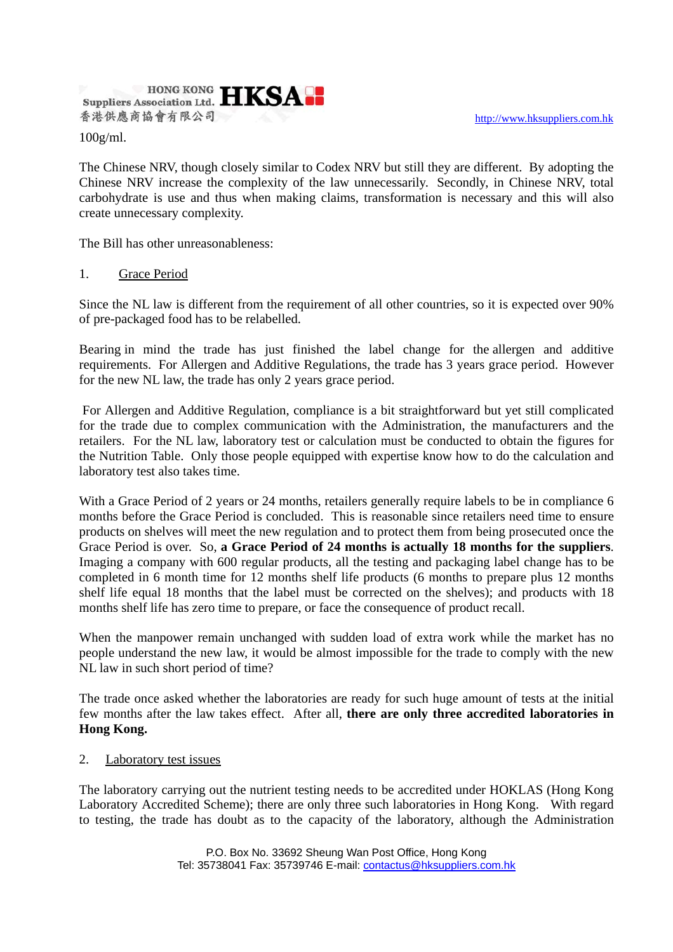

100g/ml.

The Chinese NRV, though closely similar to Codex NRV but still they are different. By adopting the Chinese NRV increase the complexity of the law unnecessarily. Secondly, in Chinese NRV, total carbohydrate is use and thus when making claims, transformation is necessary and this will also create unnecessary complexity.

The Bill has other unreasonableness:

## 1. Grace Period

Since the NL law is different from the requirement of all other countries, so it is expected over 90% of pre-packaged food has to be relabelled.

Bearing in mind the trade has just finished the label change for the allergen and additive requirements. For Allergen and Additive Regulations, the trade has 3 years grace period. However for the new NL law, the trade has only 2 years grace period.

 For Allergen and Additive Regulation, compliance is a bit straightforward but yet still complicated for the trade due to complex communication with the Administration, the manufacturers and the retailers. For the NL law, laboratory test or calculation must be conducted to obtain the figures for the Nutrition Table. Only those people equipped with expertise know how to do the calculation and laboratory test also takes time.

With a Grace Period of 2 years or 24 months, retailers generally require labels to be in compliance 6 months before the Grace Period is concluded. This is reasonable since retailers need time to ensure products on shelves will meet the new regulation and to protect them from being prosecuted once the Grace Period is over. So, **a Grace Period of 24 months is actually 18 months for the suppliers**. Imaging a company with 600 regular products, all the testing and packaging label change has to be completed in 6 month time for 12 months shelf life products (6 months to prepare plus 12 months shelf life equal 18 months that the label must be corrected on the shelves); and products with 18 months shelf life has zero time to prepare, or face the consequence of product recall.

When the manpower remain unchanged with sudden load of extra work while the market has no people understand the new law, it would be almost impossible for the trade to comply with the new NL law in such short period of time?

The trade once asked whether the laboratories are ready for such huge amount of tests at the initial few months after the law takes effect. After all, **there are only three accredited laboratories in Hong Kong.**

## 2. Laboratory test issues

The laboratory carrying out the nutrient testing needs to be accredited under HOKLAS (Hong Kong Laboratory Accredited Scheme); there are only three such laboratories in Hong Kong. With regard to testing, the trade has doubt as to the capacity of the laboratory, although the Administration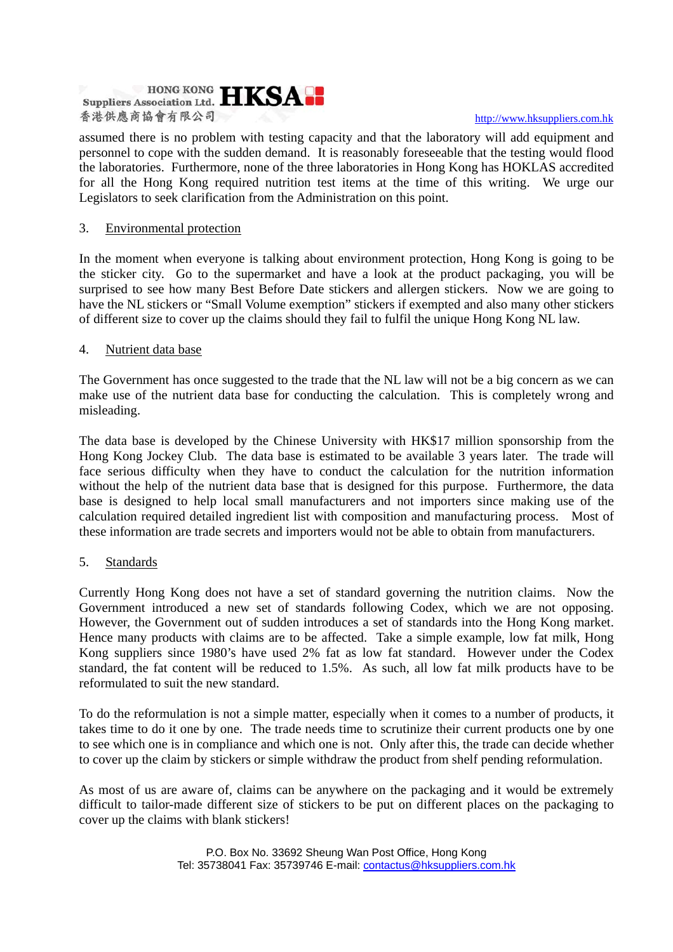# **Suppliers Association Ltd. HKSA P** 香港供應商協會有限公司

#### http://www.hksuppliers.com.hk

assumed there is no problem with testing capacity and that the laboratory will add equipment and personnel to cope with the sudden demand. It is reasonably foreseeable that the testing would flood the laboratories. Furthermore, none of the three laboratories in Hong Kong has HOKLAS accredited for all the Hong Kong required nutrition test items at the time of this writing. We urge our Legislators to seek clarification from the Administration on this point.

## 3. Environmental protection

In the moment when everyone is talking about environment protection, Hong Kong is going to be the sticker city. Go to the supermarket and have a look at the product packaging, you will be surprised to see how many Best Before Date stickers and allergen stickers. Now we are going to have the NL stickers or "Small Volume exemption" stickers if exempted and also many other stickers of different size to cover up the claims should they fail to fulfil the unique Hong Kong NL law.

#### 4. Nutrient data base

The Government has once suggested to the trade that the NL law will not be a big concern as we can make use of the nutrient data base for conducting the calculation. This is completely wrong and misleading.

The data base is developed by the Chinese University with HK\$17 million sponsorship from the Hong Kong Jockey Club. The data base is estimated to be available 3 years later. The trade will face serious difficulty when they have to conduct the calculation for the nutrition information without the help of the nutrient data base that is designed for this purpose. Furthermore, the data base is designed to help local small manufacturers and not importers since making use of the calculation required detailed ingredient list with composition and manufacturing process. Most of these information are trade secrets and importers would not be able to obtain from manufacturers.

## 5. Standards

Currently Hong Kong does not have a set of standard governing the nutrition claims. Now the Government introduced a new set of standards following Codex, which we are not opposing. However, the Government out of sudden introduces a set of standards into the Hong Kong market. Hence many products with claims are to be affected. Take a simple example, low fat milk, Hong Kong suppliers since 1980's have used 2% fat as low fat standard. However under the Codex standard, the fat content will be reduced to 1.5%. As such, all low fat milk products have to be reformulated to suit the new standard.

To do the reformulation is not a simple matter, especially when it comes to a number of products, it takes time to do it one by one. The trade needs time to scrutinize their current products one by one to see which one is in compliance and which one is not. Only after this, the trade can decide whether to cover up the claim by stickers or simple withdraw the product from shelf pending reformulation.

As most of us are aware of, claims can be anywhere on the packaging and it would be extremely difficult to tailor-made different size of stickers to be put on different places on the packaging to cover up the claims with blank stickers!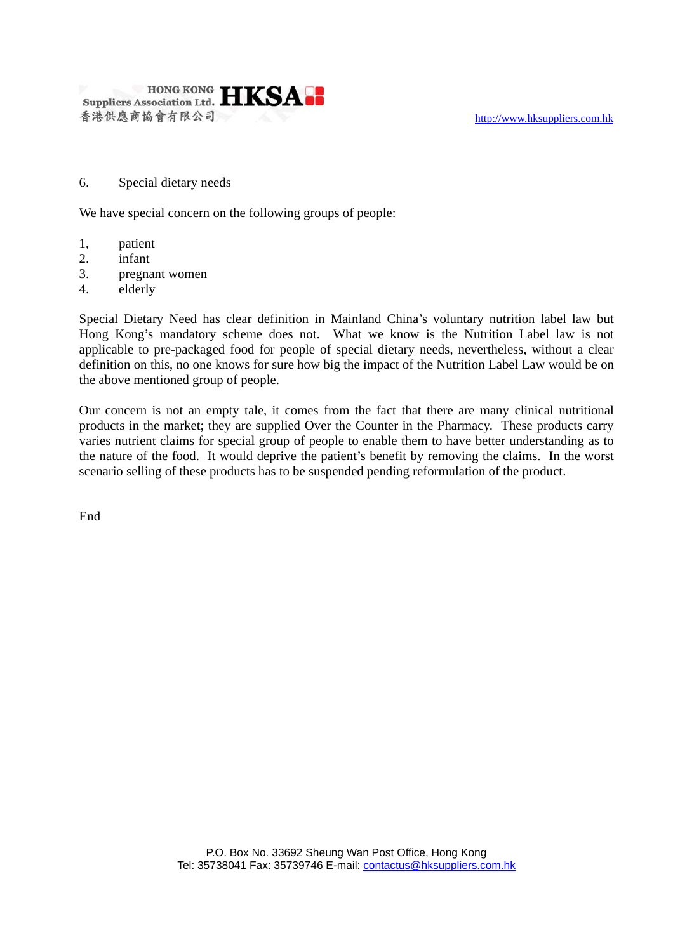

6. Special dietary needs

We have special concern on the following groups of people:

- 1, patient
- 2. infant
- 3. pregnant women
- 4. elderly

Special Dietary Need has clear definition in Mainland China's voluntary nutrition label law but Hong Kong's mandatory scheme does not. What we know is the Nutrition Label law is not applicable to pre-packaged food for people of special dietary needs, nevertheless, without a clear definition on this, no one knows for sure how big the impact of the Nutrition Label Law would be on the above mentioned group of people.

Our concern is not an empty tale, it comes from the fact that there are many clinical nutritional products in the market; they are supplied Over the Counter in the Pharmacy. These products carry varies nutrient claims for special group of people to enable them to have better understanding as to the nature of the food. It would deprive the patient's benefit by removing the claims. In the worst scenario selling of these products has to be suspended pending reformulation of the product.

End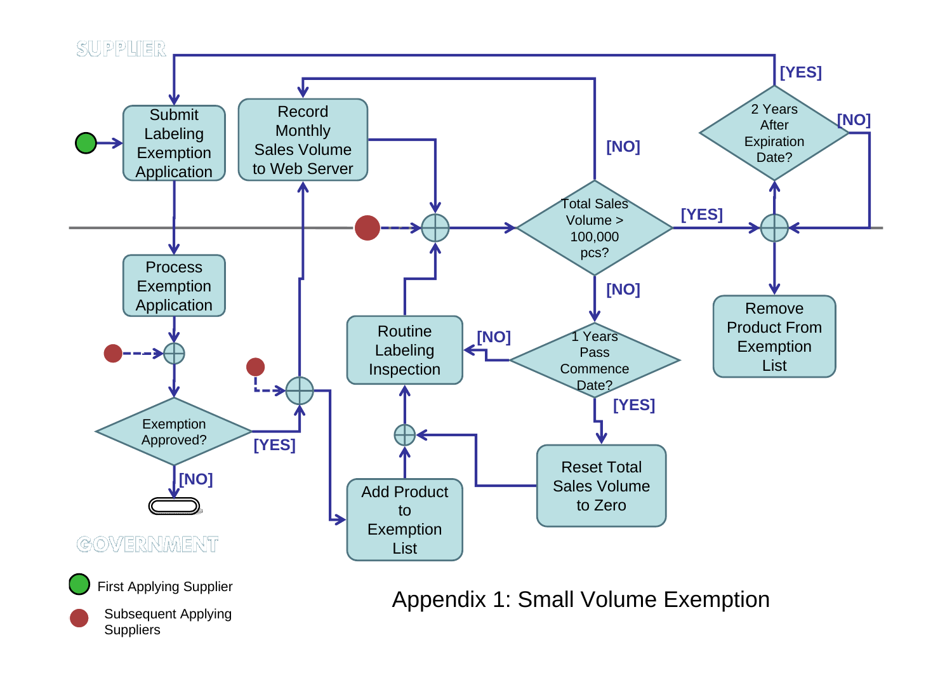

Appendix 1: Small Volume Exemption

Subsequent Applying **Suppliers**